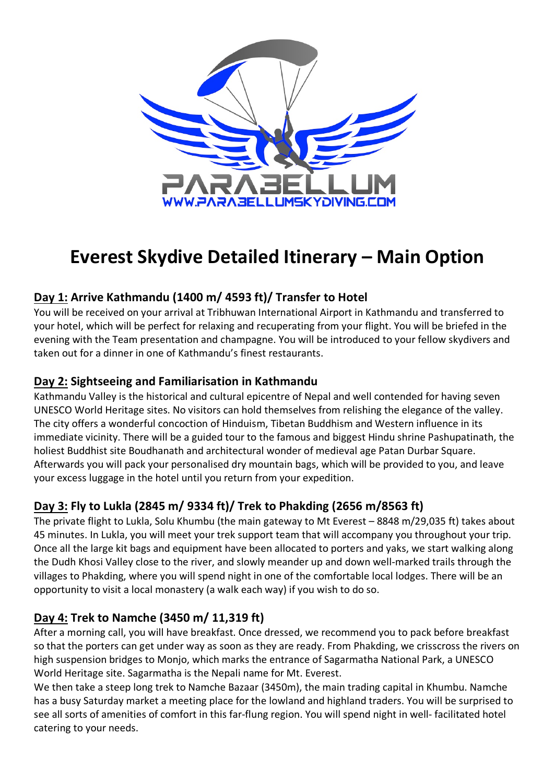

# **Everest Skydive Detailed Itinerary – Main Option**

# **Day 1: Arrive Kathmandu (1400 m/ 4593 ft)/ Transfer to Hotel**

You will be received on your arrival at Tribhuwan International Airport in Kathmandu and transferred to your hotel, which will be perfect for relaxing and recuperating from your flight. You will be briefed in the evening with the Team presentation and champagne. You will be introduced to your fellow skydivers and taken out for a dinner in one of Kathmandu's finest restaurants.

## **Day 2: Sightseeing and Familiarisation in Kathmandu**

Kathmandu Valley is the historical and cultural epicentre of Nepal and well contended for having seven UNESCO World Heritage sites. No visitors can hold themselves from relishing the elegance of the valley. The city offers a wonderful concoction of Hinduism, Tibetan Buddhism and Western influence in its immediate vicinity. There will be a guided tour to the famous and biggest Hindu shrine Pashupatinath, the holiest Buddhist site Boudhanath and architectural wonder of medieval age Patan Durbar Square. Afterwards you will pack your personalised dry mountain bags, which will be provided to you, and leave your excess luggage in the hotel until you return from your expedition.

# **Day 3: Fly to Lukla (2845 m/ 9334 ft)/ Trek to Phakding (2656 m/8563 ft)**

The private flight to Lukla, Solu Khumbu (the main gateway to Mt Everest – 8848 m/29,035 ft) takes about 45 minutes. In Lukla, you will meet your trek support team that will accompany you throughout your trip. Once all the large kit bags and equipment have been allocated to porters and yaks, we start walking along the Dudh Khosi Valley close to the river, and slowly meander up and down well-marked trails through the villages to Phakding, where you will spend night in one of the comfortable local lodges. There will be an opportunity to visit a local monastery (a walk each way) if you wish to do so.

## **Day 4: Trek to Namche (3450 m/ 11,319 ft)**

After a morning call, you will have breakfast. Once dressed, we recommend you to pack before breakfast so that the porters can get under way as soon as they are ready. From Phakding, we crisscross the rivers on high suspension bridges to Monjo, which marks the entrance of Sagarmatha National Park, a UNESCO World Heritage site. Sagarmatha is the Nepali name for Mt. Everest.

We then take a steep long trek to Namche Bazaar (3450m), the main trading capital in Khumbu. Namche has a busy Saturday market a meeting place for the lowland and highland traders. You will be surprised to see all sorts of amenities of comfort in this far-flung region. You will spend night in well- facilitated hotel catering to your needs.